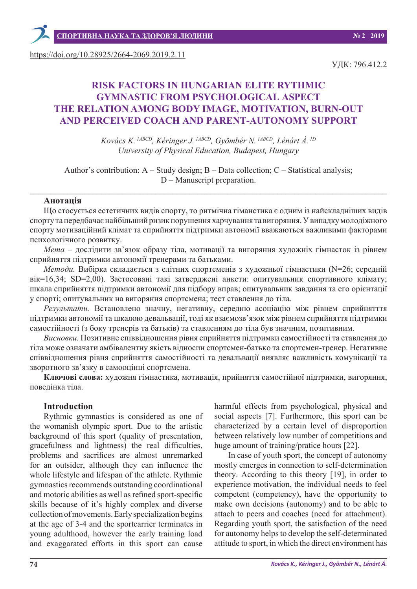https://doi.org/10.28925/2664-2069.2019.2.11

УДК: 796.412.2

# **RISK FACTORS IN HUNGARIAN ELITE RYTHMIC GYMNASTIC FROM PSYCHOLOGICAL ASPECT THE RELATION AMONG BODY IMAGE, MOTIVATION, BURN-OUT AND PERCEIVED COACH AND PARENT-AUTONOMY SUPPORT**

*Kovács K. 1АBCD, Kéringer J. 1АBCD, Gyömbér N. 1АBCD, Lénárt Á. 1D University of Physical Education, Budapest, Hungary*

Author's contribution: A – Study design; B – Data collection; C – Statistical analysis; D – Manuscript preparation.

 $\_$  , and the set of the set of the set of the set of the set of the set of the set of the set of the set of the set of the set of the set of the set of the set of the set of the set of the set of the set of the set of th

#### **Анотація**

Що стосується естетичних видів спорту, то ритмічна гіманстика є одним із найскладніших видів спорту та передбачає найбільший ризик порушення харчування та вигоряння. У випадку молодіжного спорту мотиваційний клімат та сприйняття підтримки автономії вважаються важливими факторами психологічного розвитку.

*Мета* – дослідити зв'язок образу тіла, мотивації та вигоряння художніх гімнасток із рівнем сприйняття підтримки автономії тренерами та батьками.

*Методи.* Вибірка складається з елітних спортсменів з художньої гімнастики (N=26; середній вік=16,34; SD=2,00). Застосовані такі затверджені анкети: опитувальник спортивного клімату; шкала сприйняття підтримки автономії для підбору вправ; опитувальник завдання та его орієнтації у спорті; опитувальник на вигоряння спортсмена; тест ставлення до тіла.

*Результати.* Встановлено значну, негативну, середню асоціацію між рівнем сприйнятття підтримки автономії та шкалою девальвації, тоді як взаємозв'язок між рівнем сприйняття підтримки самостійності (з боку тренерів та батьків) та ставленням до тіла був значним, позитивним.

*Висновки.* Позитивне співвідношення рівня сприйняття підтримки самостійності та ставлення до тіла може означати амбівалентну якість відносин спортсмен-батько та спортсмен-тренер. Негативне співвідношення рівня сприйняття самостійності та девальвації виявляє важливість комунікації та зворотного зв'язку в самооцінці спортсмена.

**Ключові слова:** художня гімнастика, мотивація, прийняття самостійної підтримки, вигоряння, поведінка тіла.

#### **Introduction**

Rythmic gymnastics is considered as one of the womanish olympic sport. Due to the artistic background of this sport (quality of presentation, gracefulness and lightness) the real difficulties, problems and sacrifices are almost unremarked for an outsider, although they can influence the whole lifestyle and lifespan of the athlete. Rythmic gymnastics recommends outstanding coordinational and motoric abilities as well as refined sport-specific skills because of it's highly complex and diverse collection of movements. Early specialization begins at the age of 3-4 and the sportcarrier terminates in young adulthood, however the early training load and exaggarated efforts in this sport can cause

harmful effects from psychological, physical and social aspects [7]. Furthermore, this sport can be characterized by a certain level of disproportion between relatively low number of competitions and huge amount of training/pratice hours [22].

In case of youth sport, the concept of autonomy mostly emerges in connection to self-determination theory. According to this theory [19], in order to experience motivation, the individual needs to feel competent (competency), have the opportunity to make own decisions (autonomy) and to be able to attach to peers and coaches (need for attachment). Regarding youth sport, the satisfaction of the need for autonomy helps to develop the self-determinated attitude to sport, in which the direct environment has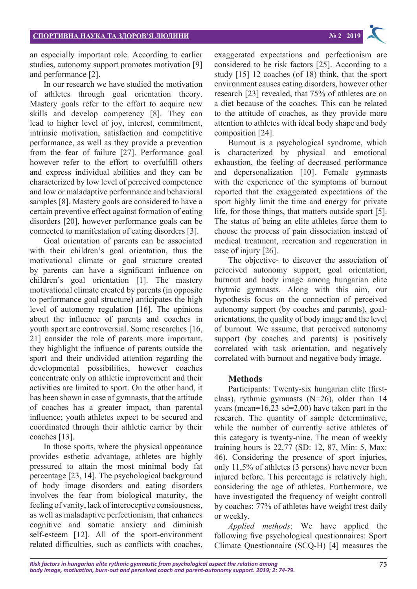an especially important role. According to earlier studies, autonomy support promotes motivation [9] and performance [2].

In our research we have studied the motivation of athletes through goal orientation theory. Mastery goals refer to the effort to acquire new skills and develop competency [8]. They can lead to higher level of joy, interest, commitment, intrinsic motivation, satisfaction and competitive performance, as well as they provide a prevention from the fear of failure [27]. Performance goal however refer to the effort to overfulfill others and express individual abilities and they can be characterized by low level of perceived competence and low or maladaptive performance and behavioral samples [8]. Mastery goals are considered to have a certain preventive effect against formation of eating disorders [20], however performance goals can be connected to manifestation of eating disorders [3].

Goal orientation of parents can be associated with their children's goal orientation, thus the motivational climate or goal structure created by parents can have a significant influence on children's goal orientation [1]. The mastery motivational climate created by parents (in opposite to performance goal structure) anticipates the high level of autonomy regulation [16]. The opinions about the influence of parents and coaches in youth sport.are controversial. Some researches [16, 21] consider the role of parents more important, they highlight the influence of parents outside the sport and their undivided attention regarding the developmental possibilities, however coaches concentrate only on athletic improvement and their activities are limited to sport. On the other hand, it has been shown in case of gymnasts, that the attitude of coaches has a greater impact, than parental influence; youth athletes expect to be secured and coordinated through their athletic carrier by their coaches [13].

In those sports, where the physical appearance provides esthetic advantage, athletes are highly pressured to attain the most minimal body fat percentage [23, 14]. The psychological background of body image disorders and eating disorders involves the fear from biological maturity, the feeling of vanity, lack of interoceptive consiousness, as well as maladaptive perfectionism, that enhances cognitive and somatic anxiety and diminish self-esteem [12]. All of the sport-environment related difficulties, such as conflicts with coaches,

exaggerated expectations and perfectionism are considered to be risk factors [25]. According to a study [15] 12 coaches (of 18) think, that the sport environment causes eating disorders, however other research [23] revealed, that 75% of athletes are on a diet because of the coaches. This can be related to the attitude of coaches, as they provide more attention to athletes with ideal body shape and body composition [24].

Burnout is a psychological syndrome, which is characterized by physical and emotional exhaustion, the feeling of decreased performance and depersonalization [10]. Female gymnasts with the experience of the symptoms of burnout reported that the exaggerated expectations of the sport highly limit the time and energy for private life, for those things, that matters outside sport [5]. The status of being an elite athletes force them to choose the process of pain dissociation instead of medical treatment, recreation and regeneration in case of injury [26].

The objective- to discover the association of perceived autonomy support, goal orientation, burnout and body image among hungarian elite rhytmic gymnasts. Along with this aim, our hypothesis focus on the connection of perceived autonomy support (by coaches and parents), goalorientations, the quality of body image and the level of burnout. We assume, that perceived autonomy support (by coaches and parents) is positively correlated with task orientation, and negatively correlated with burnout and negative body image.

#### **Methods**

Participants: Twenty-six hungarian elite (firstclass), rythmic gymnasts (N=26), older than 14 years (mean=16,23 sd=2,00) have taken part in the research. The quantity of sample determinative, while the number of currently active athletes of this category is twenty-nine. The mean of weekly training hours is 22,77 (SD: 12, 87, Min: 5, Max: 46). Considering the presence of sport injuries, only 11,5% of athletes (3 persons) have never been injured before. This percentage is relatively high, considering the age of athletes. Furthermore, we have investigated the frequency of weight controll by coaches: 77% of athletes have weight trest daily or weekly.

*Applied methods*: We have applied the following five psychological questionnaires: Sport Climate Questionnaire (SCQ-H) [4] measures the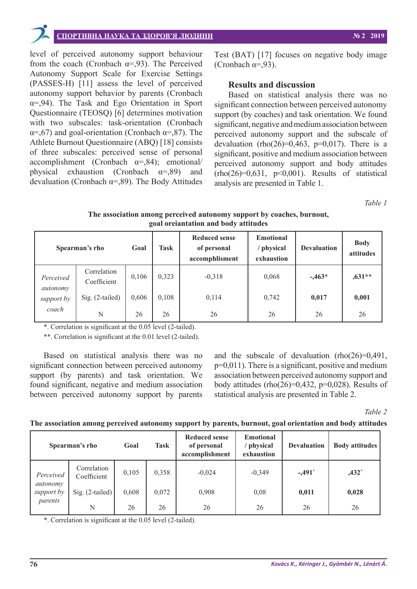

# **СПОРТИВНА НАУКА ТА ЗДОРОВ'Я ЛЮДИНИ № 2 2019**

level of perceived autonomy support behaviour from the coach (Cronbach  $\alpha = 0.93$ ). The Perceived Autonomy Support Scale for Exercise Settings (PASSES-H) [11] assess the level of perceived autonomy support behavior by parents (Cronbach α=,94). The Task and Ego Orientation in Sport Questionnaire (TEOSQ) [6] determines motivation with two subscales: task-orientation (Cronbach  $\alpha = 67$ ) and goal-orientation (Cronbach  $\alpha = 87$ ). The Athlete Burnout Questionnaire (ABQ) [18] consists of three subscales: perceived sense of personal accomplishment (Cronbach  $\alpha = 0.84$ ); emotional/ physical exhaustion (Cronbach  $\alpha =$ ,89) and devaluation (Cronbach  $\alpha$ =,89). The Body Attitudes

Test (BAT) [17] focuses on negative body image (Cronbach  $\alpha = 93$ ).

### **Results and discussion**

Based on statistical analysis there was no significant connection between perceived autonomy support (by coaches) and task orientation. We found significant, negative and medium association between perceived autonomy support and the subscale of devaluation (rho(26)=0,463, p=0,017). There is a significant, positive and medium association between perceived autonomy support and body attitudes  $(rho(26)=0.631, p<0.001)$ . Results of statistical analysis are presented in Table 1.

*Table 1*

**The association among perceived autonomy support by coaches, burnout, goal oreiantation and body attitudes**

| Spearman's rho                               |                            | Goal  | Task  | <b>Reduced sense</b><br>of personal<br>accomphlisment | <b>Emotional</b><br>physical<br>exhaustion | <b>Devaluation</b> | <b>Body</b><br>attitudes |
|----------------------------------------------|----------------------------|-------|-------|-------------------------------------------------------|--------------------------------------------|--------------------|--------------------------|
| Perceived<br>autonomy<br>support by<br>coach | Correlation<br>Coefficient | 0,106 | 0,323 | $-0,318$                                              | 0,068                                      | $-.463*$           | $,631**$                 |
|                                              | Sig. (2-tailed)            | 0,606 | 0,108 | 0,114                                                 | 0,742                                      | 0,017              | 0,001                    |
|                                              | N                          | 26    | 26    | 26                                                    | 26                                         | 26                 | 26                       |

\*. Correlation is significant at the 0.05 level (2-tailed).

\*\*. Correlation is significant at the 0.01 level (2-tailed).

Based on statistical analysis there was no significant connection between perceived autonomy support (by parents) and task orientation. We found significant, negative and medium association between perceived autonomy support by parents and the subscale of devaluation  $(rho(26)=0.491)$ , p=0,011). There is a significant, positive and medium association between perceived autonomy support and body attitudes (rho $(26)=0,432, p=0,028$ ). Results of statistical analysis are presented in Table 2.

*Table 2*

#### **The association among perceived autonomy support by parents, burnout, goal orientation and body attitudes**

| Spearman's rho                                 |                            | Goal  | Task  | <b>Reduced sense</b><br>of personal<br>accomplishment | <b>Emotional</b><br>' physical<br>exhaustion | <b>Devaluation</b> | <b>Body attitudes</b> |
|------------------------------------------------|----------------------------|-------|-------|-------------------------------------------------------|----------------------------------------------|--------------------|-----------------------|
| Perceived<br>autonomy<br>support by<br>parents | Correlation<br>Coefficient | 0,105 | 0,358 | $-0,024$                                              | $-0,349$                                     | $-.491*$           | $,432^*$              |
|                                                | $Sig. (2-tailed)$          | 0,608 | 0,072 | 0,908                                                 | 0,08                                         | 0,011              | 0,028                 |
|                                                | N                          | 26    | 26    | 26                                                    | 26                                           | 26                 | 26                    |

\*. Correlation is significant at the 0.05 level (2-tailed).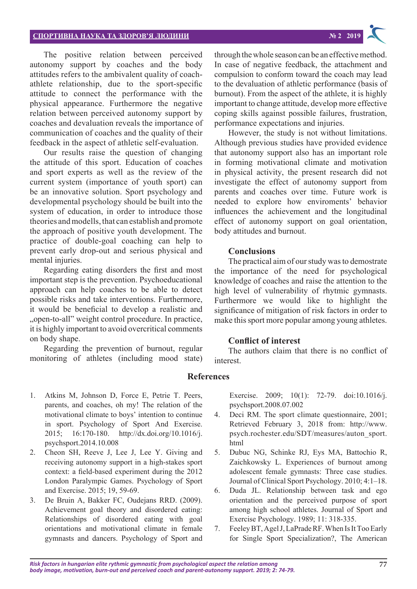# **СПОРТИВНА НАУКА ТА ЗДОРОВ'Я ЛЮДИНИ № 2 2019**

The positive relation between perceived autonomy support by coaches and the body attitudes refers to the ambivalent quality of coachathlete relationship, due to the sport-specific attitude to connect the performance with the physical appearance. Furthermore the negative relation between perceived autonomy support by coaches and devaluation reveals the importance of communication of coaches and the quality of their feedback in the aspect of athletic self-evaluation.

Our results raise the question of changing the attitude of this sport. Education of coaches and sport experts as well as the review of the current system (importance of youth sport) can be an innovative solution. Sport psychology and developmental psychology should be built into the system of education, in order to introduce those theories and modells, that can establish and promote the approach of positive youth development. The practice of double-goal coaching can help to prevent early drop-out and serious physical and mental injuries.

Regarding eating disorders the first and most important step is the prevention. Psychoeducational approach can help coaches to be able to detect possible risks and take interventions. Furthermore, it would be beneficial to develop a realistic and "open-to-all" weight control procedure. In practice, it is highly important to avoid overcritical comments on body shape.

Regarding the prevention of burnout, regular monitoring of athletes (including mood state)

1. Atkins M, Johnson D, Force E, Petrie T. Peers, parents, and coaches, oh my! The relation of the motivational climate to boys' intention to continue in sport. Psychology of Sport And Exercise. 2015; 16:170-180. http://dx.doi.org/10.1016/j. psychsport.2014.10.008

- 2. Cheon SH, Reeve J, Lee J, Lee Y. Giving and receiving autonomy support in a high-stakes sport context: a field-based experiment during the 2012 London Paralympic Games. Psychology of Sport and Exercise. 2015; 19, 59-69.
- 3. De Bruin A, Bakker FC, Oudejans RRD. (2009). Achievement goal theory and disordered eating: Relationships of disordered eating with goal orientations and motivational climate in female gymnasts and dancers. Psychology of Sport and

through the whole season can be an effective method. In case of negative feedback, the attachment and compulsion to conform toward the coach may lead to the devaluation of athletic performance (basis of burnout). From the aspect of the athlete, it is highly important to change attitude, develop more effective coping skills against possible failures, frustration, performance expectations and injuries.

However, the study is not without limitations. Although previous studies have provided evidence that autonomy support also has an important role in forming motivational climate and motivation in physical activity, the present research did not investigate the effect of autonomy support from parents and coaches over time. Future work is needed to explore how enviroments' behavior influences the achievement and the longitudinal effect of autonomy support on goal orientation, body attitudes and burnout.

#### **Conclusions**

The practical aim of our study was to demostrate the importance of the need for psychological knowledge of coaches and raise the attention to the high level of vulnerability of rhytmic gymnasts. Furthermore we would like to highlight the significance of mitigation of risk factors in order to make this sport more popular among young athletes.

#### **Conflict of interest**

The authors claim that there is no conflict of interest.

#### **References**

Exercise. 2009; 10(1): 72-79. doi:10.1016/j. psychsport.2008.07.002

- 4. Deci RM. The sport climate questionnaire, 2001; Retrieved February 3, 2018 from: http://www. psych.rochester.edu/SDT/measures/auton\_sport. html
- 5. Dubuc NG, Schinke RJ, Eys MA, Battochio R, Zaichkowsky L. Experiences of burnout among adolescent female gymnasts: Three case studies. Journal of Clinical Sport Psychology. 2010; 4:1–18.
- 6. Duda JL. Relationship between task and ego orientation and the perceived purpose of sport among high school athletes. Journal of Sport and Exercise Psychology. 1989; 11: 318-335.
- 7. Feeley BT, Agel J, LaPrade RF. When Is It Too Early for Single Sport Specialization?, The American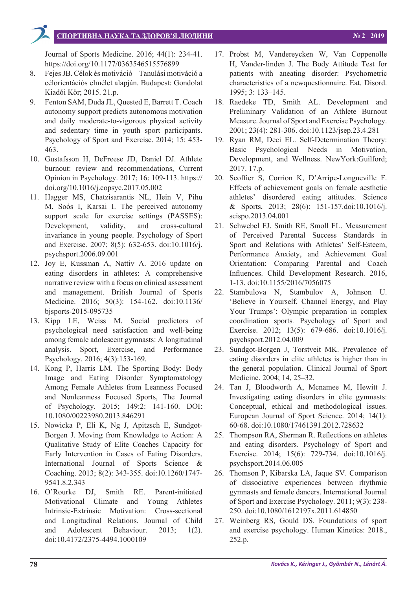# **СПОРТИВНА НАУКА ТА ЗДОРОВ'Я ЛЮДИНИ № 2 2019**

Journal of Sports Medicine. 2016; 44(1): 234-41. https://doi.org/10.1177/0363546515576899

- 8. Fejes JB. Célok és motiváció Tanulási motiváció a célorientációs elmélet alapján. Budapest: Gondolat Kiadói Kör; 2015. 21.p.
- 9. Fenton SAM, Duda JL, Quested E, Barrett T. Coach autonomy support predicts autonomous motivation and daily moderate-to-vigorous physical activity and sedentary time in youth sport participants. Psychology of Sport and Exercise. 2014; 15: 453- 463.
- 10. Gustafsson H, DeFreese JD, Daniel DJ. Athlete burnout: review and recommendations, Current Opinion in Psychology. 2017; 16: 109-113. https:// doi.org/10.1016/j.copsyc.2017.05.002
- 11. Hagger MS, Chatzisarantis NL, Hein V, Pihu M, Soós I, Karsai I. The perceived autonomy support scale for exercise settings (PASSES): Development, validity, and cross-cultural invariance in young people. Psychology of Sport and Exercise. 2007; 8(5): 632-653. doi:10.1016/j. psychsport.2006.09.001
- 12. Joy E, Kussman A, Nattiv A. 2016 update on eating disorders in athletes: A comprehensive narrative review with a focus on clinical assessment and management. British Journal of Sports Medicine. 2016; 50(3): 154-162. doi:10.1136/ bjsports-2015-095735
- 13. Kipp LE, Weiss M. Social predictors of psychological need satisfaction and well-being among female adolescent gymnasts: A longitudinal analysis. Sport, Exercise, and Performance Psychology. 2016; 4(3):153-169.
- 14. Kong P, Harris LM. The Sporting Body: Body Image and Eating Disorder Symptomatology Among Female Athletes from Leanness Focused and Nonleanness Focused Sports, The Journal of Psychology. 2015; 149:2: 141-160. DOI: 10.1080/00223980.2013.846291
- 15. Nowicka P, Eli K, Ng J, Apitzsch E, Sundgot-Borgen J. Moving from Knowledge to Action: A Qualitative Study of Elite Coaches Capacity for Early Intervention in Cases of Eating Disorders. International Journal of Sports Science & Coaching. 2013; 8(2): 343-355. doi:10.1260/1747- 9541.8.2.343
- 16. O'Rourke DJ, Smith RE. Parent-initiated Motivational Climate and Young Athletes Intrinsic-Extrinsic Motivation: Cross-sectional and Longitudinal Relations. Journal of Child and Adolescent Behaviour. 2013; 1(2). doi:10.4172/2375-4494.1000109
- 17. Probst M, Vandereycken W, Van Coppenolle H, Vander-linden J. The Body Attitude Test for patients with aneating disorder: Psychometric characteristics of a newquestionnaire. Eat. Disord. 1995; 3: 133–145.
- 18. Raedeke TD, Smith AL. Development and Preliminary Validation of an Athlete Burnout Measure. Journal of Sport and Exercise Psychology. 2001; 23(4): 281-306. doi:10.1123/jsep.23.4.281
- 19. Ryan RM, Deci EL. Self-Determination Theory: Basic Psychological Needs in Motivation, Development, and Wellness. NewYork:Guilford; 2017. 17.p.
- 20. Scoffier S, Corrion K, D'Arripe-Longueville F. Effects of achievement goals on female aesthetic athletes' disordered eating attitudes. Science & Sports, 2013; 28(6): 151-157.doi:10.1016/j. scispo.2013.04.001
- 21. Schwebel FJ. Smith RE, Smoll FL. Measurement of Perceived Parental Success Standards in Sport and Relations with Athletes' Self-Esteem, Performance Anxiety, and Achievement Goal Orientation: Comparing Parental and Coach Influences. Child Development Research. 2016, 1-13. doi:10.1155/2016/7056075
- 22. Stambulova N, Stambulov A, Johnson U. 'Believe in Yourself, Channel Energy, and Play Your Trumps': Olympic preparation in complex coordination sports*.* Psychology of Sport and Exercise. 2012; 13(5): 679-686. doi:10.1016/j. psychsport.2012.04.009
- 23. Sundgot-Borgen J, Torstveit MK. Prevalence of eating disorders in elite athletes is higher than in the general population. Clinical Journal of Sport Medicine. 2004; 14, 25–32.
- 24. Tan J, Bloodworth A, Mcnamee M, Hewitt J. Investigating eating disorders in elite gymnasts: Conceptual, ethical and methodological issues. European Journal of Sport Science. 2014; 14(1): 60-68. doi:10.1080/17461391.2012.728632
- 25. Thompson RA, Sherman R. Reflections on athletes and eating disorders. Psychology of Sport and Exercise. 2014; 15(6): 729-734. doi:10.1016/j. psychsport.2014.06.005
- 26. Thomson P, Kibarska LA, Jaque SV. Comparison of dissociative experiences between rhythmic gymnasts and female dancers. International Journal of Sport and Exercise Psychology. 2011; 9(3): 238- 250. doi:10.1080/1612197x.2011.614850
- 27. Weinberg RS, Gould DS. Foundations of sport and exercise psychology. Human Kinetics: 2018., 252.p.